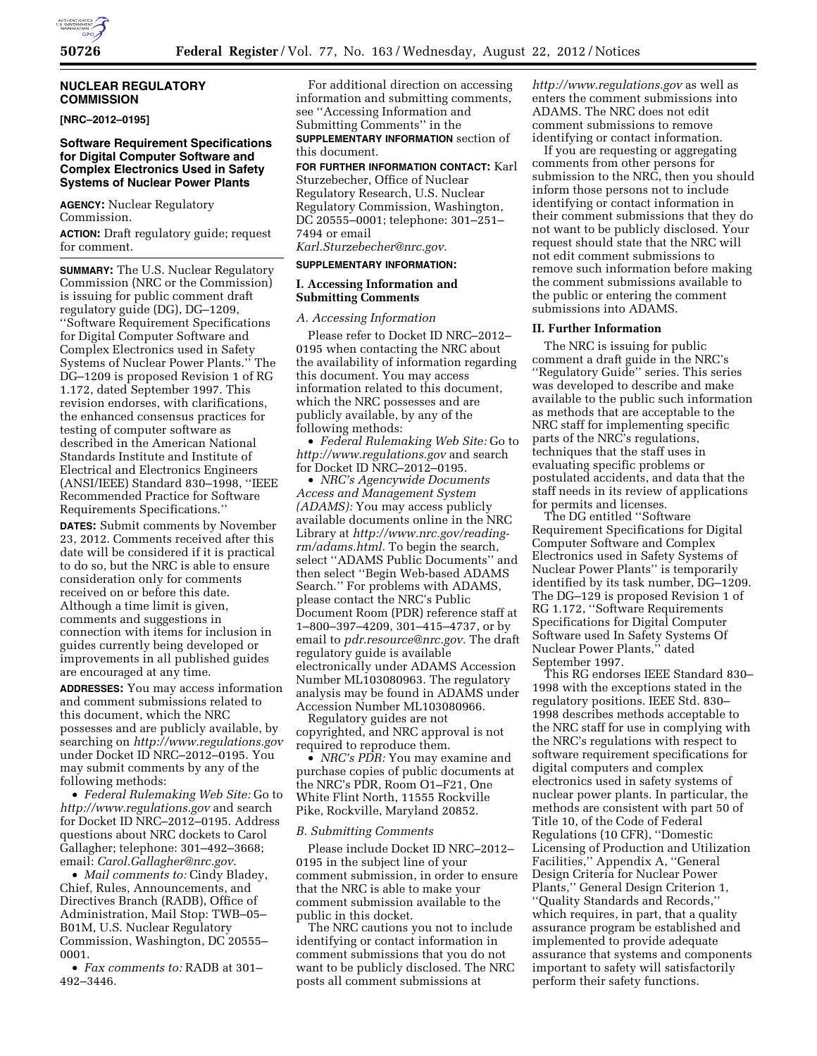# **NUCLEAR REGULATORY COMMISSION**

**[NRC–2012–0195]** 

### **Software Requirement Specifications for Digital Computer Software and Complex Electronics Used in Safety Systems of Nuclear Power Plants**

**AGENCY:** Nuclear Regulatory Commission.

**ACTION:** Draft regulatory guide; request for comment.

**SUMMARY:** The U.S. Nuclear Regulatory Commission (NRC or the Commission) is issuing for public comment draft regulatory guide (DG), DG–1209, ''Software Requirement Specifications for Digital Computer Software and Complex Electronics used in Safety Systems of Nuclear Power Plants.'' The DG–1209 is proposed Revision 1 of RG 1.172, dated September 1997. This revision endorses, with clarifications, the enhanced consensus practices for testing of computer software as described in the American National Standards Institute and Institute of Electrical and Electronics Engineers (ANSI/IEEE) Standard 830–1998, ''IEEE Recommended Practice for Software Requirements Specifications.''

**DATES:** Submit comments by November 23, 2012. Comments received after this date will be considered if it is practical to do so, but the NRC is able to ensure consideration only for comments received on or before this date. Although a time limit is given, comments and suggestions in connection with items for inclusion in guides currently being developed or improvements in all published guides are encouraged at any time.

**ADDRESSES:** You may access information and comment submissions related to this document, which the NRC possesses and are publicly available, by searching on *<http://www.regulations.gov>*  under Docket ID NRC–2012–0195. You may submit comments by any of the following methods:

• *Federal Rulemaking Web Site:* Go to *<http://www.regulations.gov>* and search for Docket ID NRC–2012–0195. Address questions about NRC dockets to Carol Gallagher; telephone: 301–492–3668; email: *[Carol.Gallagher@nrc.gov.](mailto:Carol.Gallagher@nrc.gov)* 

• *Mail comments to:* Cindy Bladey, Chief, Rules, Announcements, and Directives Branch (RADB), Office of Administration, Mail Stop: TWB–05– B01M, U.S. Nuclear Regulatory Commission, Washington, DC 20555– 0001.

• *Fax comments to:* RADB at 301– 492–3446.

For additional direction on accessing information and submitting comments, see ''Accessing Information and Submitting Comments'' in the **SUPPLEMENTARY INFORMATION** section of this document.

**FOR FURTHER INFORMATION CONTACT:** Karl Sturzebecher, Office of Nuclear Regulatory Research, U.S. Nuclear Regulatory Commission, Washington, DC 20555–0001; telephone: 301–251– 7494 or email *[Karl.Sturzebecher@nrc.gov.](mailto:Karl.Sturzebecher@nrc.gov)* 

# **SUPPLEMENTARY INFORMATION:**

# **I. Accessing Information and Submitting Comments**

*A. Accessing Information* 

Please refer to Docket ID NRC–2012– 0195 when contacting the NRC about the availability of information regarding this document. You may access information related to this document, which the NRC possesses and are publicly available, by any of the following methods:

• *Federal Rulemaking Web Site:* Go to *<http://www.regulations.gov>* and search for Docket ID NRC–2012–0195.

• *NRC's Agencywide Documents Access and Management System (ADAMS):* You may access publicly available documents online in the NRC Library at *[http://www.nrc.gov/reading](http://www.nrc.gov/reading-rm/adams.html)[rm/adams.html.](http://www.nrc.gov/reading-rm/adams.html)* To begin the search, select ''ADAMS Public Documents'' and then select ''Begin Web-based ADAMS Search.'' For problems with ADAMS, please contact the NRC's Public Document Room (PDR) reference staff at 1–800–397–4209, 301–415–4737, or by email to *[pdr.resource@nrc.gov.](mailto:pdr.resource@nrc.gov)* The draft regulatory guide is available electronically under ADAMS Accession Number ML103080963. The regulatory analysis may be found in ADAMS under Accession Number ML103080966.

Regulatory guides are not copyrighted, and NRC approval is not required to reproduce them.

• *NRC's PDR:* You may examine and purchase copies of public documents at the NRC's PDR, Room O1–F21, One White Flint North, 11555 Rockville Pike, Rockville, Maryland 20852.

#### *B. Submitting Comments*

Please include Docket ID NRC–2012– 0195 in the subject line of your comment submission, in order to ensure that the NRC is able to make your comment submission available to the public in this docket.

The NRC cautions you not to include identifying or contact information in comment submissions that you do not want to be publicly disclosed. The NRC posts all comment submissions at

*<http://www.regulations.gov>* as well as enters the comment submissions into ADAMS. The NRC does not edit comment submissions to remove identifying or contact information.

If you are requesting or aggregating comments from other persons for submission to the NRC, then you should inform those persons not to include identifying or contact information in their comment submissions that they do not want to be publicly disclosed. Your request should state that the NRC will not edit comment submissions to remove such information before making the comment submissions available to the public or entering the comment submissions into ADAMS.

# **II. Further Information**

The NRC is issuing for public comment a draft guide in the NRC's ''Regulatory Guide'' series. This series was developed to describe and make available to the public such information as methods that are acceptable to the NRC staff for implementing specific parts of the NRC's regulations, techniques that the staff uses in evaluating specific problems or postulated accidents, and data that the staff needs in its review of applications for permits and licenses.

The DG entitled ''Software Requirement Specifications for Digital Computer Software and Complex Electronics used in Safety Systems of Nuclear Power Plants'' is temporarily identified by its task number, DG–1209. The DG–129 is proposed Revision 1 of RG 1.172, ''Software Requirements Specifications for Digital Computer Software used In Safety Systems Of Nuclear Power Plants,'' dated September 1997.

This RG endorses IEEE Standard 830– 1998 with the exceptions stated in the regulatory positions. IEEE Std. 830– 1998 describes methods acceptable to the NRC staff for use in complying with the NRC's regulations with respect to software requirement specifications for digital computers and complex electronics used in safety systems of nuclear power plants. In particular, the methods are consistent with part 50 of Title 10, of the Code of Federal Regulations (10 CFR), ''Domestic Licensing of Production and Utilization Facilities,'' Appendix A, ''General Design Criteria for Nuclear Power Plants,'' General Design Criterion 1, ''Quality Standards and Records,'' which requires, in part, that a quality assurance program be established and implemented to provide adequate assurance that systems and components important to safety will satisfactorily perform their safety functions.